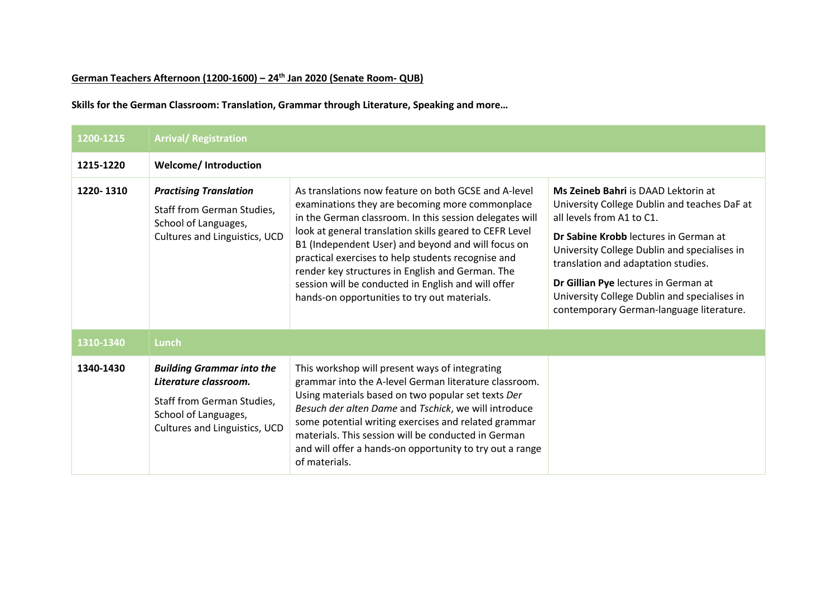## **German Teachers Afternoon (1200-1600) – 24th Jan 2020 (Senate Room- QUB)**

**Skills for the German Classroom: Translation, Grammar through Literature, Speaking and more…**

| 1200-1215 | <b>Arrival/ Registration</b>                                                                                                                     |                                                                                                                                                                                                                                                                                                                                                                                                                                                                                                      |                                                                                                                                                                                                                                                                                                                                                                                      |  |
|-----------|--------------------------------------------------------------------------------------------------------------------------------------------------|------------------------------------------------------------------------------------------------------------------------------------------------------------------------------------------------------------------------------------------------------------------------------------------------------------------------------------------------------------------------------------------------------------------------------------------------------------------------------------------------------|--------------------------------------------------------------------------------------------------------------------------------------------------------------------------------------------------------------------------------------------------------------------------------------------------------------------------------------------------------------------------------------|--|
| 1215-1220 | <b>Welcome/Introduction</b>                                                                                                                      |                                                                                                                                                                                                                                                                                                                                                                                                                                                                                                      |                                                                                                                                                                                                                                                                                                                                                                                      |  |
| 1220-1310 | <b>Practising Translation</b><br>Staff from German Studies,<br>School of Languages,<br>Cultures and Linguistics, UCD                             | As translations now feature on both GCSE and A-level<br>examinations they are becoming more commonplace<br>in the German classroom. In this session delegates will<br>look at general translation skills geared to CEFR Level<br>B1 (Independent User) and beyond and will focus on<br>practical exercises to help students recognise and<br>render key structures in English and German. The<br>session will be conducted in English and will offer<br>hands-on opportunities to try out materials. | Ms Zeineb Bahri is DAAD Lektorin at<br>University College Dublin and teaches DaF at<br>all levels from A1 to C1.<br>Dr Sabine Krobb lectures in German at<br>University College Dublin and specialises in<br>translation and adaptation studies.<br>Dr Gillian Pye lectures in German at<br>University College Dublin and specialises in<br>contemporary German-language literature. |  |
| 1310-1340 | Lunch                                                                                                                                            |                                                                                                                                                                                                                                                                                                                                                                                                                                                                                                      |                                                                                                                                                                                                                                                                                                                                                                                      |  |
| 1340-1430 | <b>Building Grammar into the</b><br>Literature classroom.<br>Staff from German Studies,<br>School of Languages,<br>Cultures and Linguistics, UCD | This workshop will present ways of integrating<br>grammar into the A-level German literature classroom.<br>Using materials based on two popular set texts Der<br>Besuch der alten Dame and Tschick, we will introduce<br>some potential writing exercises and related grammar<br>materials. This session will be conducted in German<br>and will offer a hands-on opportunity to try out a range<br>of materials.                                                                                    |                                                                                                                                                                                                                                                                                                                                                                                      |  |